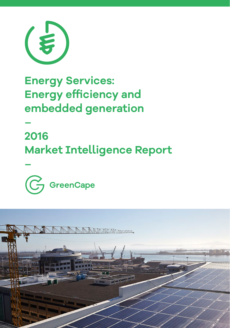

# **Energy Services: Energy efficiency and embedded generation**

## **– 2016 Market Intelligence Report**



**–**

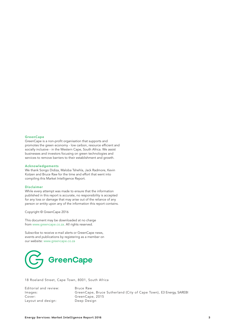#### **GreenCape**

GreenCape is a non-profit organisation that supports and promotes the green economy - low carbon, resource efficient and socially inclusive - in the Western Cape, South Africa. We assist businesses and investors focusing on green technologies and services to remove barriers to their establishment and growth.

#### Acknowledgements

We thank Songo Didiza, Maloba Tshehla, Jack Radmore, Kevin Kotzen and Bruce Raw for the time and effort that went into compiling this Market Intelligence Report.

#### Disclaimer

While every attempt was made to ensure that the information published in this report is accurate, no responsibility is accepted for any loss or damage that may arise out of the reliance of any person or entity upon any of the information this report contains.

Copyright © GreenCape 2016

This document may be downloaded at no charge from www.greencape.co.za. All rights reserved.

Subscribe to receive e-mail alerts or GreenCape news, events and publications by registering as a member on our website: www.greencape.co.za



18 Roeland Street, Cape Town, 8001, South Africa

Editorial and review: Bruce Raw<br>Images: GreenCape Layout and design:

Images: GreenCape, Bruce Sutherland (City of Cape Town), E3 Energy, SAREBI GreenCape, 2015<br>Deep Design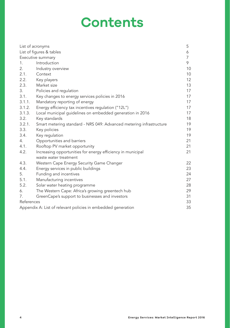# **Contents**

|            | List of acronyms                                                                     | 5              |
|------------|--------------------------------------------------------------------------------------|----------------|
|            | List of figures & tables                                                             | 6              |
|            | Executive summary                                                                    | $\overline{7}$ |
| 1.         | Introduction                                                                         | 9              |
| 2.         | Industry overview                                                                    | 10             |
| 2.1.       | Context                                                                              | 10             |
| 2.2.       | Key players                                                                          | 12             |
| 2.3.       | Market size                                                                          | 13             |
| 3.         | Policies and regulation                                                              | 17             |
| 3.1.       | Key changes to energy services policies in 2016                                      | 17             |
| 3.1.1.     | Mandatory reporting of energy                                                        | 17             |
| 3.1.2.     | Energy efficiency tax incentives regulation ("12L")                                  | 17             |
| 3.1.3.     | Local municipal guidelines on embedded generation in 2016                            | 17             |
| 3.2.       | Key standards                                                                        | 18             |
| 3.2.1.     | Smart metering standard - NRS 049: Advanced metering infrastructure                  | 19             |
| 3.3.       | Key policies                                                                         | 19             |
| 3.4.       | Key regulation                                                                       | 19             |
| 4.         | Opportunities and barriers                                                           | 21             |
| 4.1.       | Rooftop PV market opportunity                                                        | 21             |
| 4.2.       | Increasing opportunities for energy efficiency in municipal<br>waste water treatment | 21             |
| 4.3.       | Western Cape Energy Security Game Changer                                            | 22             |
| 4.4.       | Energy services in public buildings                                                  | 23             |
| 5.         | Funding and incentives                                                               | 24             |
| 5.1.       | Manufacturing incentives                                                             | 27             |
| 5.2.       | Solar water heating programme                                                        | 28             |
| 6.         | The Western Cape: Africa's growing greentech hub                                     | 29             |
| 7.         | GreenCape's support to businesses and investors                                      | 31             |
| References |                                                                                      | 33             |
|            | Appendix A: List of relevant policies in embedded generation                         | 35             |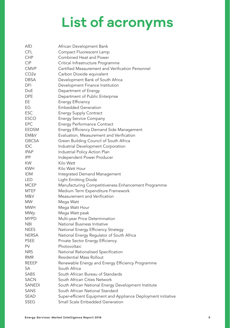# **List of acronyms**

| AfD               | African Development Bank                                      |
|-------------------|---------------------------------------------------------------|
| <b>CFL</b>        | Compact Fluorescent Lamp                                      |
| <b>CHP</b>        | Combined Heat and Power                                       |
| <b>CIP</b>        | Critical Infrastructure Programme                             |
| <b>CMVP</b>       | Certified Measurement and Verification Personnel              |
| CO <sub>2</sub> e | Carbon Dioxide equivalent                                     |
| <b>DBSA</b>       | Development Bank of South Africa                              |
| DFI               | Development Finance Institution                               |
| DoE               | Department of Energy                                          |
| <b>DPE</b>        | Department of Public Enterprise                               |
| EE                | <b>Energy Efficiency</b>                                      |
| EG                | <b>Embedded Generation</b>                                    |
| <b>ESC</b>        | <b>Energy Supply Contract</b>                                 |
| <b>ESCO</b>       | <b>Energy Service Company</b>                                 |
| <b>EPC</b>        | <b>Energy Performance Contract</b>                            |
| EEDSM             | Energy Efficiency Demand Side Management                      |
| EM&V              | Evaluation, Measurement and Verification                      |
| <b>GBCSA</b>      | Green Building Council of South Africa                        |
| <b>IDC</b>        | Industrial Development Corporation                            |
| <b>IPAP</b>       | Industrial Policy Action Plan                                 |
| <b>IPP</b>        | Independent Power Producer                                    |
| <b>KW</b>         | Kilo Watt                                                     |
| KWH               | Kilo Watt Hour                                                |
| <b>IDM</b>        | Integrated Demand Management                                  |
| LED               | <b>Light Emitting Diode</b>                                   |
| <b>MCEP</b>       | Manufacturing Competitiveness Enhancement Programme           |
| MTEF              | Medium Term Expenditure Framework                             |
| M&V               | Measurement and Verification                                  |
| MW                | Mega Watt                                                     |
| <b>MWH</b>        | Mega Watt Hour                                                |
| <b>MWp</b>        | Mega Watt peak                                                |
| <b>MYPD</b>       | Multi-year Price Determination                                |
| <b>NBI</b>        | National Business Initiative                                  |
| <b>NEES</b>       | National Energy Efficiency Strategy                           |
| NERSA             | National Energy Regulator of South Africa                     |
| <b>PSEE</b>       | Private Sector Energy Efficiency                              |
| PV                | Photovoltaic                                                  |
| <b>NRS</b>        | National Rationalised Specification                           |
| <b>RMR</b>        | <b>Residential Mass Rollout</b>                               |
| <b>REEEP</b>      | Renewable Energy and Energy Efficiency Programme              |
| SA                | South Africa                                                  |
| <b>SABS</b>       | South African Bureau of Standards                             |
| <b>SACN</b>       | South African Cities Network                                  |
| <b>SANEDI</b>     | South African National Energy Development Institute           |
| <b>SANS</b>       | South African National Standard                               |
| <b>SEAD</b>       | Super-efficient Equipment and Appliance Deployment initiative |
| SSEG              | Small Scale Embedded Generation                               |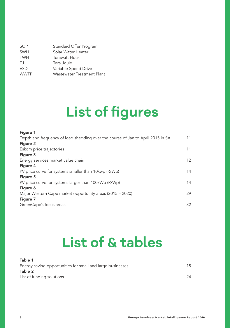| Standard Offer Program     |
|----------------------------|
| Solar Water Heater         |
| Terawatt Hour              |
| Tera Joule                 |
| Variable Speed Drive       |
| Wastewater Treatment Plant |
|                            |

# **List of figures**

### Figure 1

| Depth and frequency of load shedding over the course of Jan to April 2015 in SA | 11 |
|---------------------------------------------------------------------------------|----|
| Figure 2                                                                        |    |
| Eskom price trajectories                                                        | 11 |
| Figure 3                                                                        |    |
| Energy services market value chain                                              | 12 |
| Figure 4                                                                        |    |
| PV price curve for systems smaller than 10kwp (R/Wp)                            | 14 |
| Figure 5                                                                        |    |
| PV price curve for systems larger than 100kWp (R/Wp)                            | 14 |
| Figure 6                                                                        |    |
| Major Western Cape market opportunity areas (2015 – 2020)                       | 29 |
| Figure 7                                                                        |    |
| GreenCape's focus areas                                                         | 32 |
|                                                                                 |    |

# **List of & tables**

| Table 1                                                    |    |
|------------------------------------------------------------|----|
| Energy saving opportunities for small and large businesses | 15 |
| Table 2                                                    |    |
| List of funding solutions                                  | 24 |
|                                                            |    |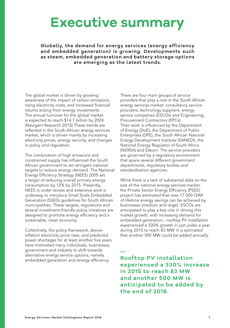# **Executive summary**

**Globally, the demand for energy services (energy efficiency and embedded generation) is growing. Developments such as steam, embedded generation and battery storage options are emerging as the latest trends.** 

—

The global market is driven by growing awareness of the impact of carbon emissions, rising electricity costs, and increased financial returns arising from energy investments. The annual turnover for the global market is expected to reach \$14.7 billion by 2024 (Navigant Research 2015).These trends are reflected in the South African energy services market, which is driven mainly by increasing electricity prices, energy security, and changes in policy and regulation.

The combination of high emissions and constrained supply has influenced the South African government to set stringent national targets to reduce energy demand. The National Energy Efficiency Strategy (NEES) 2005 set a target of reducing overall primary energy consumption by 12% by 2015. Presently, NEES is under review and extensive work is underway to introduce Small Scale Embedded Generation (SSEG) guidelines for South African municipalities. These targets, regulations and several investment-friendly policy initiatives are designed to promote energy efficiency and a sustainable, clean economy.

Collectively, the policy framework, aboveinflation electricity price rises, and predicted power shortages for at least another five years have motivated many individuals, businesses, government and industry to shift towards alternative energy service options, namely embedded generation and energy efficiency.

There are four main groups of service providers that play a role in the South African energy services market: consultancy service providers, technology suppliers, energy service companies (ESCOs) and Engineering, Procurement Contractors (EPCs). Their work is influenced by the Department of Energy (DoE), the Department of Public Enterprises (DPE), the South African National Energy Development Institute (SANEDI), the National Energy Regulator of South Africa (NERSA) and Eskom. The service providers are governed by a regulatory environment that spans several different government departments, regulatory bodies and standardisation agencies.

While there is a lack of substantial data on the size of the national energy services market, the Private Sector Energy Efficiency (PSEE) project has estimated that over 17 000 GWh of lifetime energy savings can be achieved by businesses (medium and large). ESCOs are anticipated to play a key role in driving this market growth, with increasing demand for embedded generation - rooftop PV installation experienced a 330% growth in just under a year during 2015 to reach 83 MW. It is estimated that another 500 MW could be added annually.

**Rooftop PV installation experienced a 330% increase in 2015 to reach 83 MW and another 500 MW is anticipated to be added by the end of 2016.**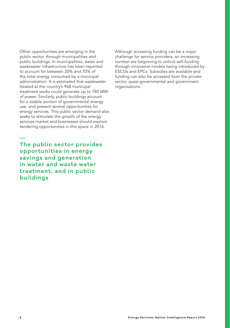Other opportunities are emerging in the public sector, through municipalities and public buildings. In municipalities, water and wastewater infrastructure has been reported to account for between 20% and 70% of the total energy consumed by a municipal administration. It is estimated that wastewater treated at the country's 968 municipal treatment works could generate up to 780 MW of power. Similarly, public buildings account for a sizable portion of governmental energy use, and present several opportunities for energy services. This public sector demand also seeks to stimulate the growth of the energy services market and businesses should explore tendering opportunities in this space in 2016.

**The public sector provides opportunities in energy savings and generation in water and waste water treatment, and in public buildings**.

Although accessing funding can be a major challenge for service providers, an increasing number are beginning to unlock self-funding through innovative models being introduced by ESCOs and EPCs. Subsidies are available and funding can also be accessed from the private sector, quasi-governmental and government organisations.

—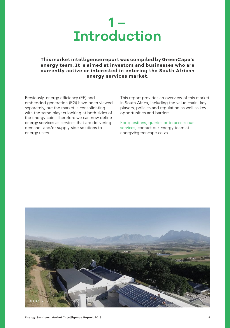

### **This market intelligence report was compiled by GreenCape's energy team. It is aimed at investors and businesses who are currently active or interested in entering the South African energy services market.**

Previously, energy efficiency (EE) and embedded generation (EG) have been viewed separately, but the market is consolidating with the same players looking at both sides of the energy coin. Therefore we can now define energy services as services that are delivering demand- and/or supply-side solutions to energy users.

This report provides an overview of this market in South Africa, including the value chain, key players, policies and regulation as well as key opportunities and barriers.

For questions, queries or to access our services, contact our Energy team at energy@greencape.co.za

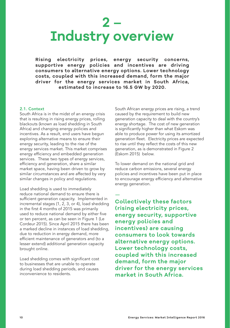# **2 – Industry overview**

**Rising electricity prices, energy security concerns, supportive energy policies and incentives are driving consumers to alternative energy options. Lower technology costs, coupled with this increased demand, form the major driver for the energy services market in South Africa, estimated to increase to 16.5 GW by 2020.** 

—

### 2.1. Context

South Africa is in the midst of an energy crisis that is resulting in rising energy prices, rolling blackouts (known as load shedding in South Africa) and changing energy policies and incentives. As a result, end users have begun exploring alternative means to ensure their energy security, leading to the rise of the energy services market. This market comprises energy efficiency and embedded generation services. These two types of energy services, efficiency and generation, share a similar market space, having been driven to grow by similar circumstances and are affected by very similar changes in policy and regulations.

Load shedding is used to immediately reduce national demand to ensure there is sufficient generation capacity. Implemented in incremental stages (1, 2, 3, or 4), load shedding in the first 4 months of 2015 was primarily used to reduce national demand by either five or ten percent, as can be seen in Figure 1 (Le Cordeur 2015). Since April 2015 there has been a marked decline in instances of load shedding, due to reduction in energy demand, more efficient maintenance of generators and (to a lesser extend) additional generation capacity brought online.

Load shedding comes with significant cost to businesses that are unable to operate during load shedding periods, and causes inconvenience to residents.

South African energy prices are rising, a trend caused by the requirement to build new generation capacity to deal with the country's energy shortage. The cost of new generation is significantly higher than what Eskom was able to produce power for using its amortized generation fleet. Electricity prices are expected to rise until they reflect the costs of this new generation, as is demonstrated in Figure 2 (Eskom 2015) below.

To lower demand on the national grid and reduce carbon emissions, several energy policies and incentives have been put in place to encourage energy efficiency and alternative energy generation.

**Collectively these factors (rising electricity prices, energy security, supportive energy policies and incentives) are causing consumers to look towards alternative energy options. Lower technology costs, coupled with this increased demand, form the major driver for the energy services market in South Africa.**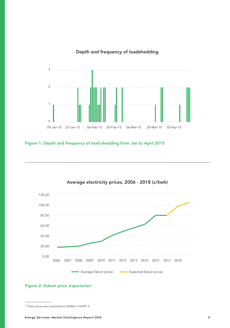### Depth and frequency of loadshedding



Figure 1: Depth and frequency of load shedding from Jan to April 2015



Average electricity prices, 2006 - 2018 (c/kwh)

### Figure 2: Eskom price trajectories<sup>1</sup>

<sup>1</sup> These prices were submitted to NERSA in MYPD 3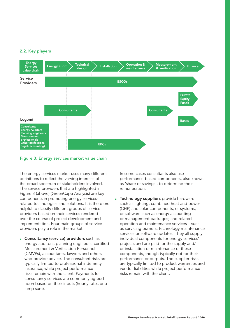### 2.2. Key players



#### Figure 3: Energy services market value chain

The energy services market uses many different definitions to reflect the varying interests of the broad spectrum of stakeholders involved. The service providers that are highlighted in Figure 3 (above) (GreenCape Analysis) are key components in promoting energy servicesrelated technologies and solutions. It is therefore helpful to classify different groups of service providers based on their services rendered over the course of project development and implementation. Four main groups of service providers play a role in the market:

**Exercice**) providers such as energy auditors, planning engineers, certified Measurement & Verification Personnel (CMVPs), accountants, lawyers and others who provide advice. The consultant risks are typically limited to professional indemnity insurance, while project performance risks remain with the client. Payments for consultancy services are commonly agreed upon based on their inputs (hourly rates or a lump sum).

In some cases consultants also use performance-based components, also known as 'share of savings', to determine their remuneration.

**Example 3 Technology suppliers** provide hardware such as lighting, combined heat and power (CHP) and solar components, or systems; or software such as energy accounting or management packages; and related operation and maintenance services – such as servicing burners, technology maintenance services or software updates. They all supply individual components for energy services' projects and are paid for the supply and/ or installation or maintenance of these components, though typically not for their performance or outputs. The supplier risks are typically limited to product warranties and vendor liabilities while project performance risks remain with the client.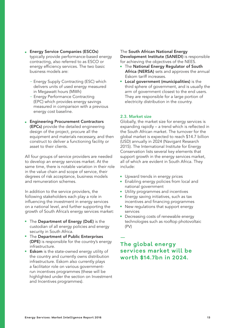- Energy Service Companies (ESCOs) typically provide performance-based energy contracting, also referred to as ESCO or energy efficiency services. The two basic business models are:
	- − Energy Supply Contracting (ESC) which delivers units of used energy measured in Megawatt hours (MWh)
	- − Energy Performance Contracting (EPC) which provides energy savings measured in comparison with a previous energy cost baseline.
- Engineering Procurement Contractors (EPCs) provide the detailed engineering design of the project, procure all the equipment and materials necessary, and then construct to deliver a functioning facility or asset to their clients.

All four groups of service providers are needed to develop an energy services market. At the same time, there is notable variation in their role in the value chain and scope of service, their degrees of risk acceptance, business models and remuneration schemes.

In addition to the service providers, the following stakeholders each play a role in influencing the investment in energy services on a national level, and further supporting the growth of South Africa's energy services market:

- The Department of Energy (DoE) is the custodian of all energy policies and energy security in South Africa.
- The Department of Public Enterprises (DPE) is responsible for the country's energy infrastructure.
- **Eskom** is the state-owned energy utility of the country and currently owns distribution infrastructure. Eskom also currently plays a facilitator role on various governmentrun incentives programmes (these will be highlighted under the section on Investment and Incentives programmes).

### The South African National Energy Development Institute (SANEDI) is responsible for achieving the objectives of the NEES.

- The National Energy Regulator of South Africa (NERSA) sets and approves the annual Eskom tariff increases.
- Local government (municipalities) is the third sphere of government, and is usually the arm of government closest to the end users. They are responsible for a large portion of electricity distribution in the country.

### 2.3. Market size

Globally, the market size for energy services is expanding rapidly – a trend which is reflected in the South African market. The turnover for the global market is expected to reach \$14.7 billion (USD) annually in 2024 (Navigant Research 2015). The International Institute for Energy Conservation lists several key elements that support growth in the energy services market, all of which are evident in South Africa. They include:

- Upward trends in energy prices
- Enabling energy policies from local and national government
- Utility programmes and incentives
- Energy saving initiatives, such as tax incentives and financing programmes
- New regulations that support energy services
- Decreasing costs of renewable energy technologies such as rooftop photovoltaic (PV)

## — **The global energy services market will be worth \$14.7bn in 2024.**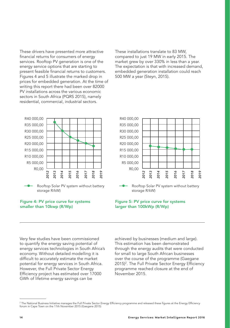These drivers have presented more attractive financial returns for consumers of energy services. Rooftop PV generation is one of the energy service options that are starting to present feasible financial returns to customers. Figures 4 and 5 illustrate the marked drop in prices for embedded generation. At the time of writing this report there had been over 82000 PV installations across the various economic sectors in South Africa (PQRS 2015), namely residential, commercial, industrial sectors.

These installations translate to 83 MW, compared to just 19 MW in early 2015. The market grew by over 330% in less than a year. The expectation is that with increased demand, embedded generation installation could reach 500 MW a year (Steyn, 2015).



#### Figure 4: PV price curve for systems smaller than 10kwp (R/Wp)



#### Figure 5: PV price curve for systems larger than 100kWp (R/Wp)

Very few studies have been commissioned to quantify the energy saving potential of energy services technologies in South Africa's economy. Without detailed modelling it is difficult to accurately estimate the market potential for energy services in South Africa. However, the Full Private Sector Energy Efficiency project has estimated over 17000 GWh of lifetime energy savings can be

achieved by businesses (medium and large). This estimation has been demonstrated through the energy audits that were conducted for small to large South African businesses over the course of the programme (Gaegane 2015)2 . The Full Private Sector Energy Efficiency programme reached closure at the end of November 2015.

<sup>2</sup> The National Business Initiative manages the Full Private Sector Energy Efficiency programme and released these figures at the Energy Efficiency forum in Cape Town on the 11th November 2015 (Gaegane 2015)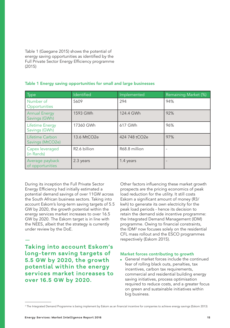Table 1 (Gaegane 2015) shows the potential of energy saving opportunities as identified by the Full Private Sector Energy Efficiency programme (2015)

| Type                                    | Identified               | Implemented   | Remaining Market (%) |
|-----------------------------------------|--------------------------|---------------|----------------------|
| Number of<br>Opportunities              | 5609                     | 294           | 94%                  |
| <b>Annual Energy</b><br>Savings (GWh)   | 1593 GWh                 | 124.4 GWh     | 92%                  |
| <b>Lifetime Energy</b><br>Savings (GWh) | 17360 GWh                | 617 GWh       | 96%                  |
| Lifetime Carbon<br>Savings (MtCO2e)     | 13.6 MtCO2e              | 424 748 tCO2e | 97%                  |
| Capex leveraged<br>(in Rands)           | R <sub>2.6</sub> billion | R68.8 million |                      |
| Average payback<br>of opportunities     | 2.3 years                | 1.4 years     |                      |

#### Table 1 Energy saving opportunities for small and large businesses

During its inception the Full Private Sector Energy Efficiency had initially estimated a potential demand savings of over 11GW across the South African business sectors. Taking into account Eskom's long-term saving targets of 5.5 GW by 2020, the growth potential within the energy services market increases to over 16.5 GW by 2020. The Eskom target is in line with the NEES, albeit that the strategy is currently under review by the DoE.

**Taking into account Eskom's long-term saving targets of 5.5 GW by 2020, the growth potential within the energy services market increases to over 16.5 GW by 2020.**

—

Other factors influencing these market growth prospects are the pricing economics of peak load reduction for the utility. It still costs Eskom a significant amount of money (R3/ kwh) to generate its own electricity for the peak load periods - hence its decision to retain the demand side incentive programme: the Integrated Demand Management (IDM) programme. Owing to financial constraints, the IDM<sup>3</sup> now focuses solely on the residential CFL mass rollout and the ESCO programmes respectively (Eskom 2015).

#### Market forces contributing to growth

■ General market forces include the continued fear of rolling black outs, penalties, tax incentives, carbon tax requirements, commercial and residential building energy saving initiatives, process optimisation required to reduce costs, and a greater focus on green and sustainable initiatives within big business.

<sup>3</sup> The Integrated Demand Programme is being implement by Eskom as an financial incentive for companies to achieve energy savings (Eskom 2013)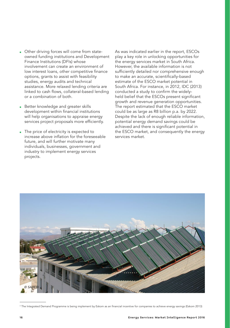- Other driving forces will come from stateowned funding institutions and Development Finance Institutions (DFIs) whose involvement can create an environment of low interest loans, other competitive finance options, grants to assist with feasibility studies, energy audits and technical assistance. More relaxed lending criteria are linked to cash flows, collateral-based lending or a combination of both.
- Better knowledge and greater skills development within financial institutions will help organisations to appraise energy services project proposals more efficiently.
- The price of electricity is expected to increase above inflation for the foreseeable future, and will further motivate many individuals, businesses, government and industry to implement energy services projects.

As was indicated earlier in the report, ESCOs play a key role in unlocking opportunities for the energy services market in South Africa. However, the available information is not sufficiently detailed nor comprehensive enough to make an accurate, scientifically-based estimate of the ESCO market potential in South Africa. For instance, in 2012, IDC (2013) conducted a study to confirm the widelyheld belief that the ESCOs present significant growth and revenue generation opportunities. The report estimated that the ESCO market could be as large as R8 billion p.a. by 2022. Despite the lack of enough reliable information, potential energy demand savings could be achieved and there is significant potential in the ESCO market, and consequently the energy services market.



<sup>3</sup> The Integrated Demand Programme is being implement by Eskom as an financial incentive for companies to achieve energy savings (Eskom 2013)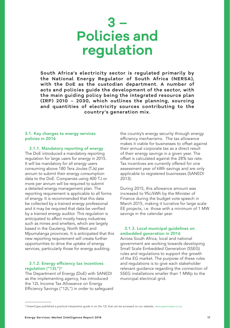# **3 – Policies and regulation**

**South Africa's electricity sector is regulated primarily by the National Energy Regulator of South Africa (NERSA), with the DoE as the custodian department. A number of acts and policies guide the development of the sector, with the main guiding policy being the integrated resource plan (IRP) 2010 – 2030, which outlines the planning, sourcing and quantities of electricity sources contributing to the country's generation mix.**

#### 3.1. Key changes to energy services policies in 2016

3.1.1. Mandatory reporting of energy

The DoE introduced a mandatory reporting regulation for large users for energy in 2015. It will be mandatory for all energy users consuming above 180 Tera Joules (TJs) per annum to submit their energy consumption data to the DoE. Companies using 400 TJ or more per annum will be required to submit a detailed energy management plan. The reporting requirement is applicable to all forms of energy. It is recommended that this data be collected by a trained energy professional and it may be required that data be verified by a trained energy auditor. This regulation is anticipated to affect mostly heavy industries such as mines and smelters, which are largely based in the Gauteng, North West and Mpumalanga provinces. It is anticipated that this new reporting requirement will create further opportunities to drive the uptake of energy services, particularly those for energy auditing.

#### 3.1.2. Energy efficiency tax incentives regulation ("12L")4

The Department of Energy (DoE) with SANEDI as the implementing agency, has introduced the 12L Income Tax Allowance on Energy Efficiency Savings ("12L") in order to safeguard the country's energy security through energy efficiency mechanisms. The tax allowance makes it viable for businesses to offset against their annual corporate tax as a direct result of their energy savings in a given year. The offset is calculated against the 28% tax rate. Tax incentives are currently offered for one assessment year of kWh savings and are only applicable to registered businesses (SANEDI 2013).

During 2015, this allowance amount was increased to 95c/kWh by the Minister of Finance during the budget vote speech in March 2015, making it lucrative for large scale EE projects, i.e. those with a minimum of 1 MW savings in the calendar year.

#### 3.1.3. Local municipal guidelines on embedded generation in 2016

Across South Africa, local and national government are working towards developing Small Scale Embedded Generation (SSEG) rules and regulations to support the growth of the EG market. The purpose of these rules and regulations is to give each stakeholder relevant guidance regarding the connection of SSEG installations smaller than 1 MWp to the municipal electrical grid.

<sup>4</sup> GreenCape published a practical interpretive guide in on the 12L that can be accessed on our website, www.greencape.co.za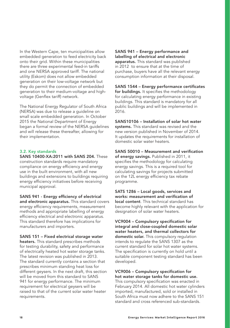In the Western Cape, ten municipalities allow embedded generation to feed electricity back onto their grid. Within these municipalities there are three experimental feed-in tariffs and one NERSA approved tariff. The national utility (Eskom) does not allow embedded generation on their low-voltage network but they do permit the connection of embedded generation to their medium-voltage and highvoltage (Genflex tariff) network.

The National Energy Regulator of South Africa (NERSA) was due to release a guideline on small scale embedded generation. In October 2015 the National Department of Energy began a formal review of the NERSA guidelines and will release these thereafter, allowing for their implementation.

### 3.2. Key standards

SANS 10400-XA:2011 with SANS 204. These construction standards require mandatory compliance on energy efficiency and energy use in the built environment, with all new buildings and extensions to buildings requiring energy efficiency initiatives before receiving municipal approval.

SANS 941 - Energy efficiency of electrical and electronic apparatus. This standard covers energy efficiency requirements, measurement methods and appropriate labelling of energy efficiency electrical and electronic apparatus. This standard therefore has implications for manufacturers and importers.

SANS 151 – Fixed electrical storage water heaters. This standard prescribes methods for testing durability, safety and performance of electrically heated hot water storage tanks. The latest revision was published in 2013. The standard currently contains a section that prescribes minimum standing heat loss for different geysers. In the next draft, this section will be moved from this standard to SANS 941 for energy performance. The minimum requirement for electrical geysers will be raised to that of the current solar water heater requirements.

SANS 941 – Energy performance and labelling of electrical and electronic apparatus. This standard was published in 2012 to ensure that at the time of purchase, buyers have all the relevant energy consumption information at their disposal.

SANS 1544 – Energy performance certificates for buildings. It specifies the methodology for calculating energy performance in existing buildings. This standard is mandatory for all public buildings and will be implemented in 2016.

SANS10106 – Installation of solar hot water systems. This standard was revised and the new version published in November of 2014. It updates the requirements for installation of domestic solar water heaters.

SANS 50010 – Measurement and verification of energy savings. Published in 2011, it specifies the methodology for calculating energy savings. This is a required tool for calculating savings for projects submitted on the 12L energy efficiency tax rebate programme.

SATS 1286 – Local goods, services and works: measurement and verification of local content. This technical standard has become highly relevant with the application for designation of solar water heaters.

VC9004 – Compulsory specification for integral and close-coupled domestic solar water heaters, and thermal collectors for domestic solar. This compulsory requlation intends to regulate the SANS 1307 as the current standard for solar hot water systems. The specification is currently on hold until a suitable component testing standard has been developed.

VC9006 – Compulsory specification for hot water storage tanks for domestic use.

This compulsory specification was enacted in February 2014. All domestic hot water cylinders imported, manufactured, sold or installed in South Africa must now adhere to the SANS 151 standard and cross referenced sub-standards.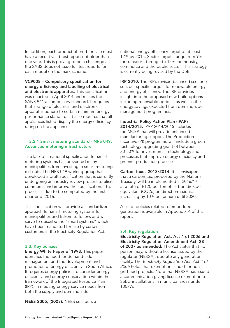In addition, each product offered for sale must have a recent valid test report not older than one year. This is proving to be a challenge as the SABS does not issue full test reports for each model on the mark scheme.

VC9008 – Compulsory specification for energy efficiency and labelling of electrical and electronic apparatus. This specification was enacted in April 2014 and makes the SANS 941 a compulsory standard. It requires that a range of electrical and electronic apparatus adhere to certain minimum energy performance standards. It also requires that all appliances listed display the energy efficiency rating on the appliance.

#### 3.2.1 Smart metering standard - NRS 049: Advanced metering infrastructure

The lack of a national specification for smart metering systems has prevented many municipalities from investing in smart metering roll-outs. The NRS 049 working group has developed a draft specification that is currently undergoing an industry review process to elicit comments and improve the specification. This process is due to be completed by the first quarter of 2016.

This specification will provide a standardized approach for smart metering systems for municipalities and Eskom to follow, and will serve to describe the "smart systems" which have been mandated for use by certain customers in the Electricity Regulation Act.

#### 3.3. Key policies

Energy White Paper of 1998. This paper identifies the need for demand-side management and the development and promotion of energy efficiency in South Africa. It requires energy policies to consider energy efficiency and energy conservation within the framework of the Integrated Resource Plan (IRP), in meeting energy service needs from both the supply and demand side.

national energy efficiency target of at least 12% by 2015. Sector targets range from 9% for transport, through to 15% for industry, commerce and the public sector. This strategy is currently being revised by the DoE.

IRP 2010. The IRP's revised balanced scenario sets out specific targets for renewable energy and energy efficiency. The IRP provides insight into the proposed new-build options including renewable options, as well as the energy savings expected from demand-side management programmes.

#### Industrial Policy Action Plan (IPAP)

2014/2015. IPAP 2014/2015 includes the MCEP that will provide enhanced manufacturing support. The Production Incentive (PI) programme will include a green technology upgrading grant of between 30-50% for investments in technology and processes that improve energy efficiency and greener production processes.

Carbon taxes-2013/2014. It is envisaged that a carbon tax, proposed by the National Treasury, will be implemented in 2016/17 at a rate of R120 per ton of carbon dioxide equivalent (CO2e) on direct emissions, increasing by 10% per annum until 2020.

A list of policies related to embedded generation is available in Appendix A of this report.

#### 3.4. Key regulation

Electricity Regulation Act, Act 4 of 2006 and Electricity Regulation Amendment Act, 28 of 2007 as amended. The Act states that no person may, without a license issued by the regulator (NERSA), operate any generation facility. The *Electricity Regulation Act, Act 4 of 2006* holds that exemption is held for nongrid-tied projects. Note that NERSA has issued a communication giving license exemption to SSEG installations in municipal areas under 100kW.

NEES 2005, (2008). NEES sets outs a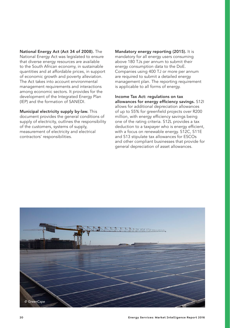National Energy Act (Act 34 of 2008). The National Energy Act was legislated to ensure that diverse energy resources are available to the South African economy, in sustainable quantities and at affordable prices, in support of economic growth and poverty alleviation. The Act takes into account environmental management requirements and interactions among economic sectors. It provides for the development of the Integrated Energy Plan (IEP) and the formation of SANEDI.

Municipal electricity supply by-law. This document provides the general conditions of supply of electricity, outlines the responsibility of the customers, systems of supply, measurement of electricity and electrical contractors' responsibilities.

Mandatory energy reporting (2015). It is mandatory for all energy users consuming above 180 TJs per annum to submit their energy consumption data to the DoE. Companies using 400 TJ or more per annum are required to submit a detailed energy management plan. The reporting requirement is applicable to all forms of energy.

Income Tax Act: regulations on tax allowances for energy efficiency savings. S12I allows for additional depreciation allowances of up to 55% for greenfield projects over R200 million, with energy efficiency savings being one of the rating criteria. S12L provides a tax deduction to a taxpayer who is energy efficient, with a focus on renewable energy. S12C, S11E and S13 stipulate tax allowances for ESCOs and other compliant businesses that provide for general depreciation of asset allowances.

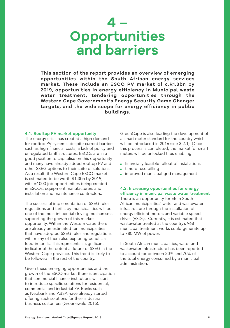# **4 – Opportunities and barriers**

**This section of the report provides an overview of emerging opportunities within the South African energy services market. These include an ESCO PV market of c.R1.3bn by 2019, opportunities in energy efficiency in Municipal waste water treatment, tendering opportunities through the Western Cape Government's Energy Security Game Changer targets, and the wide scope for energy efficiency in public buildings.** 

#### 4.1. Rooftop PV market opportunity

The energy crisis has created a high demand for rooftop PV systems, despite current barriers such as high financial costs, a lack of policy and unregulated tariff structures. ESCOs are in a good position to capitalise on this opportunity and many have already added rooftop PV and other SSEG options to their suite of solutions. As a result, the Western Cape ESCO market is estimated to be worth R1.3bn by 2019, with ±1000 job opportunities being created in ESCOs, equipment manufacturers and installation and maintenance contractors.

The successful implementation of SSEG rules, regulations and tariffs by municipalities will be one of the most influential driving mechanisms supporting the growth of this market opportunity. Within the Western Cape there are already an estimated ten municipalities that have adopted SSEG rules and regulations with many of them also exploring beneficial feed-in tariffs. This represents a significant indicator of the potential future of SSEG in the Western Cape province. This trend is likely to be followed in the rest of the country.

Given these emerging opportunities and the growth of the ESCO market there is anticipation that commercial finance institutions will start to introduce specific solutions for residential, commercial and industrial PV. Banks such as Nedbank and ABSA have already started offering such solutions for their industrial business customers (Groenewald 2015).

GreenCape is also leading the development of a smart meter standard for the country which will be introduced in 2016 (see 3.2.1). Once this process is completed, the market for smart meters will be unlocked thus enabling:

- financially feasible rollout of installations
- time-of-use billing
- improved municipal grid management

## 4.2. Increasing opportunities for energy efficiency in municipal waste water treatment

There is an opportunity for EE in South African municipalities' water and wastewater infrastructure through the installation of energy efficient motors and variable speed drives (VSDs). Currently, it is estimated that wastewater treated at the country's 968 municipal treatment works could generate up to 780 MW of power.

In South African municipalities, water and wastewater infrastructure has been reported to account for between 20% and 70% of the total energy consumed by a municipal administration.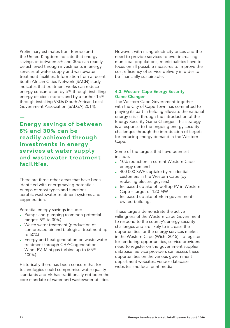Preliminary estimates from Europe and the United Kingdom indicate that energy savings of between 5% and 30% can readily be achieved through investments in energy services at water supply and wastewater treatment facilities. Information from a recent South African Cities Network (SACN) study indicates that treatment works can reduce energy consumption by 5% through installing energy efficient motors and by a further 15% through installing VSDs (South African Local Government Association (SALGA) 2014).

— **Energy savings of between 5% and 30% can be readily achieved through investments in energy services at water supply and wastewater treatment facilities.**

There are three other areas that have been identified with energy saving potential: pumps of most types and functions, aerobic wastewater treatment systems and cogeneration.

Potential energy savings include:

- Pumps and pumping (common potential ranges: 5% to 30%)
- Waste water treatment (production of compressed air and biological treatment up to 50%)
- Energy and heat generation on waste water treatment through CHP/Cogeneration; Wind, PV, Mini gas turbine up to (55% – 100%)

Historically there has been concern that EE technologies could compromise water quality standards and EE has traditionally not been the core mandate of water and wastewater utilities. However, with rising electricity prices and the need to provide services to ever-increasing municipal populations, municipalities have to focus on all possible measures to improve the cost efficiency of service delivery in order to be financially sustainable.

### 4.3. Western Cape Energy Security Game Changer

The Western Cape Government together with the City of Cape Town has committed to playing its part in helping alleviate the national energy crisis, through the introduction of the Energy Security Game Changer. This strategy is a response to the ongoing energy security challenges through the introduction of targets for reducing energy demand in the Western Cape.

Some of the targets that have been set include:

- 10% reduction in current Western Cape energy demand
- 400 000 SWHs uptake by residential customers in the Western Cape (by replacing electric geysers)
- Increased uptake of rooftop PV in Western Cape – target of 120 MW
- Increased uptake of EE in governmentowned buildings

These targets demonstrate the active willingness of the Western Cape Government to respond to the country's energy security challenges and are likely to increase the opportunities for the energy services market in the Western Cape (Wicht 2015). To register for tendering opportunities, service providers need to register on the government supplier database. Service providers can access these opportunities on the various government department websites, vendor database websites and local print media.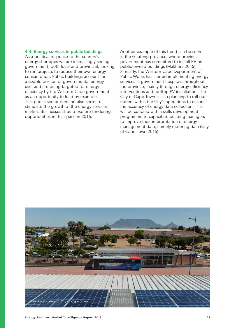#### 4.4. Energy services in public buildings

As a political response to the country's energy shortages we are increasingly seeing government, both local and provincial, looking to run projects to reduce their own energy consumption. Public buildings account for a sizable portion of governmental energy use, and are being targeted for energy efficiency by the Western Cape government as an opportunity to lead by example. This public sector demand also seeks to stimulate the growth of the energy services market. Businesses should explore tendering opportunities in this space in 2016.

Another example of this trend can be seen in the Gauteng province, where provincial government has committed to install PV on public-owned buildings (Makhura 2015). Similarly, the Western Cape Department of Public Works has started implementing energy services in government hospitals throughout the province, mainly through energy efficiency interventions and rooftop PV installation. The City of Cape Town is also planning to roll out meters within the City's operations to ensure the accuracy of energy data collection. This will be coupled with a skills development programme to capacitate building managers to improve their interpretation of energy management data, namely metering data (City of Cape Town 2015).

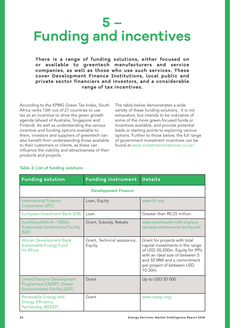# **5 – Funding and incentives**

**There is a range of funding solutions, either focused on or available to greentech manufacturers and service companies, as well as those who use such services. These cover Development Finance Institutions, local public and private sector financiers and investors, and a considerable range of tax incentives.** 

According to the KPMG Green Tax Index, South Africa ranks 13th out of 21 countries to use tax as an incentive to drive the green growth agenda (ahead of Australia, Singapore and Finland). As well as understanding the various incentive and funding options available to them, investors and suppliers of greentech can also benefit from understanding those available to their customers or clients, as these can influence the viability and attractiveness of their products and projects.

The table below demonstrates a wide variety of these funding solutions. It is not exhaustive, but intends to be indicative of some of the more green-focused funds or incentives available, and provide potential leads or starting points to exploring various options. Further to those below, the full range of government investment incentives can be found at www.investmentincentives.co.za/.

| <b>Funding solution</b>                                                                              | <b>Funding instrument</b>              | <b>Details</b>                                                                                                                                                                                                    |  |
|------------------------------------------------------------------------------------------------------|----------------------------------------|-------------------------------------------------------------------------------------------------------------------------------------------------------------------------------------------------------------------|--|
| <b>Development Finance</b>                                                                           |                                        |                                                                                                                                                                                                                   |  |
| <b>International Finance</b><br>Corporation (IFC)                                                    | Loan, Equity                           | www.ifc.org                                                                                                                                                                                                       |  |
| European Investment Bank (EIB)                                                                       | Loan                                   | Greater than R0.25 million                                                                                                                                                                                        |  |
| SouthSouthNorth / DBSA:<br><b>Sustainable Settlements Facility</b><br>(SSF)                          | Grant, Subsidy, Rebate                 | www.southsouthnorth.org/sus-<br>tainable-settlements-facility-ssf/                                                                                                                                                |  |
| African Development Bank:<br>Sustainable Energy Fund<br>for Africa                                   | Grant, Technical assistance,<br>Equity | Grant for projects with total<br>capital investments in the range<br>of USD 30-200m. Equity for IPPs<br>with an ideal size of between 5<br>and 50 MW and a commitment<br>per project of between USD<br>$10-30m$ . |  |
| <b>United Nations Development</b><br>Programme (UNDP): Global<br><b>Environmental Facility (GEF)</b> | Grant                                  | Up to USD 50 000                                                                                                                                                                                                  |  |
| Renewable Energy and<br><b>Energy Efficiency</b><br>Partnership (REEEP)                              | Grant                                  | www.reeep.org/                                                                                                                                                                                                    |  |

## Table 2: List of funding solutions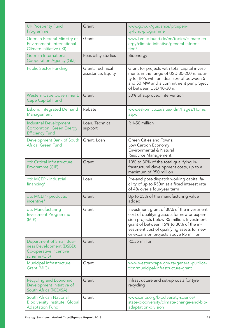| <b>UK Prosperity Fund</b><br>Programme                                                                | Grant                                  | www.gov.uk/guidance/prosperi-<br>ty-fund-programme                                                                                                                                                                                                                        |
|-------------------------------------------------------------------------------------------------------|----------------------------------------|---------------------------------------------------------------------------------------------------------------------------------------------------------------------------------------------------------------------------------------------------------------------------|
| German Federal Ministry of<br>Environment: International<br>Climate Initiative (IKI)                  | Grant                                  | www.bmub.bund.de/en/topics/climate-en-<br>ergy/climate-initiative/general-informa-<br>tion/                                                                                                                                                                               |
| German International<br><b>Cooperation Agency (GIZ)</b>                                               | Feasibility studies                    | Bioenergy                                                                                                                                                                                                                                                                 |
| <b>Public Sector Funding</b>                                                                          | Grant, Technical<br>assistance, Equity | Grant for projects with total capital invest-<br>ments in the range of USD 30-200m. Equi-<br>ty for IPPs with an ideal size of between 5<br>and 50 MW and a commitment per project<br>of between USD 10-30m.                                                              |
| <b>Western Cape Government:</b><br><b>Cape Capital Fund</b>                                           | Grant                                  | 50% of approved intervention                                                                                                                                                                                                                                              |
| <b>Eskom: Integrated Demand</b><br>Management                                                         | Rebate                                 | www.eskom.co.za/sites/idm/Pages/Home.<br>aspx                                                                                                                                                                                                                             |
| <b>Industrial Development</b><br><b>Corporation: Green Energy</b><br><b>Efficiency Fund</b>           | Loan, Technical<br>support             | R 1-50 million                                                                                                                                                                                                                                                            |
| Development Bank of South<br>Africa: Green Fund                                                       | Grant, Loan                            | Green Cities and Towns;<br>Low Carbon Economy;<br>Environmental & Natural<br>Resource Management.                                                                                                                                                                         |
| dti: Critical Infrastructure<br>Programme (CIP)                                                       | Grant                                  | 10% to 30% of the total qualifying in-<br>frastructural development costs, up to a<br>maximum of R50 million                                                                                                                                                              |
| dti: MCEP - industrial<br>financing*                                                                  | Loan                                   | Pre-and post-dispatch working capital fa-<br>cility of up to R50m at a fixed interest rate<br>of 4% over a four-year term                                                                                                                                                 |
| dti: MCEP - production<br>incentive*                                                                  | Grant                                  | Up to 25% of the manufacturing value<br>added                                                                                                                                                                                                                             |
| dti: Manufacturing<br><b>Investment Programme</b><br>(MIP)                                            | Grant                                  | Investment grant of 30% of the investment<br>cost of qualifying assets for new or expan-<br>sion projects below R5 million. Investment<br>grant of between 15% to 30% of the in-<br>vestment cost of qualifying assets for new<br>or expansion projects above R5 million. |
| <b>Department of Small Busi-</b><br>ness Development (DSBD:<br>Co-operative incentive<br>scheme (CIS) | Grant                                  | R0.35 million                                                                                                                                                                                                                                                             |
| Municipal Infrastructure<br>Grant (MIG)                                                               | Grant                                  | www.westerncape.gov.za/general-publica-<br>tion/municipal-infrastructure-grant                                                                                                                                                                                            |
| Recycling and Economic<br>Development Initiative of<br>South Africa (REDISA)                          | Grant                                  | Infrastructure and set-up costs for tyre<br>recycling                                                                                                                                                                                                                     |
| South African National<br><b>Biodiversity Institute: Global</b><br><b>Adaptation Fund</b>             | Grant                                  | www.sanbi.org/biodiversity-science/<br>state-biodiversity/climate-change-and-bio-<br>adaptation-division                                                                                                                                                                  |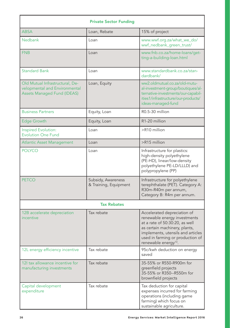| <b>Private Sector Funding</b>                                                                          |                                             |                                                                                                                                                                                                                                             |  |
|--------------------------------------------------------------------------------------------------------|---------------------------------------------|---------------------------------------------------------------------------------------------------------------------------------------------------------------------------------------------------------------------------------------------|--|
| <b>ABSA</b>                                                                                            | Loan, Rebate                                | 15% of project                                                                                                                                                                                                                              |  |
| <b>Nedbank</b>                                                                                         | Loan                                        | www.wwf.org.za/what_we_do/<br>wwf_nedbank_green_trust/                                                                                                                                                                                      |  |
| <b>FNB</b>                                                                                             | Loan                                        | www.fnb.co.za/home-loans/get-<br>ting-a-building-loan.html                                                                                                                                                                                  |  |
| <b>Standard Bank</b>                                                                                   | Loan                                        | www.standardbank.co.za/stan-<br>dardbank/                                                                                                                                                                                                   |  |
| Old Mutual Infrastructural, De-<br>velopmental and Environmental<br><b>Assets Managed Fund (IDEAS)</b> | Loan, Equity                                | ww2.oldmutual.co.za/old-mutu-<br>al-investment-group/boutiques/al-<br>ternative-investments/our-capabil-<br>ities1/infrastructure/our-products/<br>ideas-managed-fund                                                                       |  |
| <b>Business Partners</b>                                                                               | Equity, Loan                                | R0.5-30 million                                                                                                                                                                                                                             |  |
| <b>Edge Growth</b>                                                                                     | Equity, Loan                                | R1-20 million                                                                                                                                                                                                                               |  |
| Inspired Evolution:<br><b>Evolution One Fund</b>                                                       | Loan                                        | >R10 million                                                                                                                                                                                                                                |  |
| <b>Atlantic Asset Management</b>                                                                       | Loan                                        | >R15 million                                                                                                                                                                                                                                |  |
| <b>POLYCO</b>                                                                                          | Loan                                        | Infrastructure for plastics:<br>high-density polyethylene<br>(PE-HD), linear/low-density<br>polyethylene PE-LD/LLLD) and<br>polypropylene (PP)                                                                                              |  |
| <b>PETCO</b>                                                                                           | Subsidy, Awareness<br>& Training, Equipment | Infrastructure for polyethylene<br>terephthalate (PET). Category A:<br>R30m-R40m per annum,<br>Category B: R4m per annum.                                                                                                                   |  |
| <b>Tax Rebates</b>                                                                                     |                                             |                                                                                                                                                                                                                                             |  |
| 12B accelerate depreciation<br>incentive                                                               | Tax rebate                                  | Accelerated depreciation of<br>renewable energy investments<br>at a rate of 50:30:20, as well<br>as certain machinery, plants,<br>implements, utensils and articles<br>used in farming or production of<br>renewable energy <sup>13</sup> . |  |
| 12L energy efficiency incentive                                                                        | Tax rebate                                  | 95c/kwh deduction on energy<br>saved                                                                                                                                                                                                        |  |
| 12I tax allowance incentive for<br>manufacturing investments                                           | Tax rebate                                  | 35-55% or R550-R900m for<br>greenfield projects<br>35-55% or R350--R550m for<br>brownfield projects                                                                                                                                         |  |
| Capital development<br>expenditure                                                                     | Tax rebate                                  | Tax deduction for capital<br>expenses incurred for farming<br>operations (including game<br>farming) which focus on<br>sustainable agriculture.                                                                                             |  |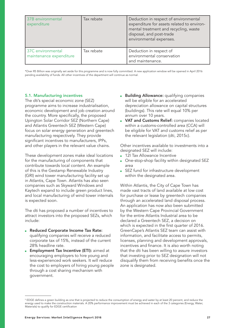| 37B environmental<br>expenditure             | Tax rebate | Deduction in respect of environmental<br>expenditure for assets related to environ-<br>mental treatment and recycling, waste<br>disposal, and post-trade<br>environmental expenses. |
|----------------------------------------------|------------|-------------------------------------------------------------------------------------------------------------------------------------------------------------------------------------|
| 37C environmental<br>maintenance expenditure | Tax rebate | Deduction in respect of<br>environmental conservation<br>and maintenance.                                                                                                           |

\*Over R5 Billion was originally set aside for this programme and is now fully committed. A new application window will be opened in April 2016 pending availability of funds. All other incentives of the department will continue as normal.

#### 5.1. Manufacturing incentives

The dti's special economic zone (SEZ) programme aims to increase industrialisation, economic development and job creation around the country. More specifically, the proposed Upington Solar Corridor SEZ (Northern Cape) and Atlantis Greentech SEZ (Western Cape) focus on solar energy generation and greentech manufacturing respectively. They provide significant incentives to manufacturers, IPPs, and other players in the relevant value chains.

These development zones make ideal locations for the manufacturing of components that contribute towards local content. An example of this is the Gestamp Renewable Industry (GRI) wind tower manufacturing facility set up in Atlantis, Cape Town. Atlantis has also seen companies such as Skyward Windows and Kaytech expand to include green product lines, and local manufacturing of wind tower internals is expected soon.

The dti has proposed a number of incentives to attract investors into the proposed SEZs, which include:

- Reduced Corporate Income Tax Rate: qualifying companies will receive a reduced corporate tax of 15%, instead of the current 28% headline rate.
- **Employment Tax Incentive (ETI):** aimed at encouraging employers to hire young and less-experienced work seekers. It will reduce the cost to employers of hiring young people through a cost sharing mechanism with government.
- **Building Allowance: qualifying companies** will be eligible for an accelerated depreciation allowance on capital structures (buildings). This rate will equal 10% per annum over 10 years.
- **VAT and Customs Relief:** companies located within a customs-controlled area (CCA) will be eligible for VAT and customs relief as per the relevant legislation (dti, 2015c).

Other incentives available to investments into a designated SEZ will include:

- 12I Tax Allowance Incentive
- One-stop-shop facility within designated SEZ area
- SEZ fund for infrastructure development within the designated area.

Within Atlantis, the City of Cape Town has made vast tracts of land available at low cost for purchase or lease by greentech companies through an accelerated land disposal process. An application has now also been submitted by the Western Cape Provincial Government for the entire Atlantis Industrial area to be declared a Greentech SEZ, a decision on which is expected in the first quarter of 2016. GreenCape's Atlantis SEZ team can assist with information, and facilitate access to permits, licenses, planning and development approvals, incentives and finance. It is also worth noting that the dti has been willing to assure investors that investing prior to SEZ designation will not disqualify them from receiving benefits once the zone is designated.

 $^{\rm 5}$  EDGE defines a green building as one that is projected to reduce the consumption of energy and water by at least 20 percent, and reduce the energy used to make the construction materials. A 20% performance improvement must be achieved in each of the 3 categories (Energy, Water, Materials) to qualify for EDGE certification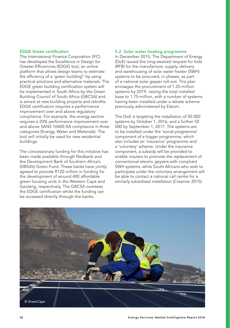#### EDGE Green certification

The International Finance Corporation (IFC) has developed the Excellence in Design for Greater Efficiencies (EDGE) tool, an online platform that allows design teams to estimate the efficiency of a 'green building<sup>5</sup>' by using practical solutions and alternative materials. The EDGE green building certification system will be implemented in South Africa by the Green Building Council of South Africa (GBCSA) and is aimed at new building projects and retrofits. EDGE certification requires a performance improvement over and above regulatory compliance. For example, the energy section requires a 20% performance improvement over and above SANS 10400 XA compliance in three categories (Energy, Water and Materials). The tool will initially be used for new residential buildings.

The concessionary funding for this initiative has been made available through Nedbank and the Development Bank of Southern Africa's (DBSA's) Green Fund. These banks have jointly agreed to provide R120 million in funding for the development of around 400 affordable green housing units in the Western Cape and Gauteng, respectively. The GBCSA oversees the EDGE certification whilst the funding can be accessed directly through the banks.

#### 5.2. Solar water heating programme

In December 2015, The Department of Energy (DoE) issued the long-awaited request for bids (RFB) for the manufacture, supply, delivery and warehousing of solar water heater (SWH) systems to be procured, in phases, as part of a national solar geyser roll-out. The plan envisages the procurement of 1.25-million systems by 2019, raising the total installed base to 1.75-million, with a number of systems having been installed under a rebate scheme previously administered by Eskom.

The DoE is targeting the installation of 50 000 systems by October 1, 2016, and a further 50 000 by September 1, 2017. The systems are to be installed under the 'social programme' component of a bigger programme, which also includes an 'insurance' programme and a 'voluntary' scheme. Under the insurance component, a subsidy will be provided to enable insurers to promote the replacement of conventional electric geysers with compliant SWH systems, while South Africans who wish to participate under the voluntary arrangement will be able to contact a national call centre for a similarly subsidised installation (Creamer 2015).

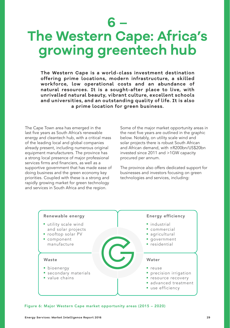**6 –**

# **The Western Cape: Africa's growing greentech hub**

**The Western Cape is a world-class investment destination offering prime locations, modern infrastructure, a skilled workforce, low operational costs and an abundance of natural resources. It is a sought-after place to live, with unrivalled natural beauty, vibrant culture, excellent schools and universities, and an outstanding quality of life. It is also a prime location for green business.**

The Cape Town area has emerged in the last five years as South Africa's renewable energy and cleantech hub, with a critical mass of the leading local and global companies already present, including numerous original equipment manufacturers. The province has a strong local presence of major professional services firms and financiers, as well as a supportive government that has made ease of doing business and the green economy key priorities. Coupled with these is a strong and rapidly growing market for green technology and services in South Africa and the region.

Some of the major market opportunity areas in the next five years are outlined in the graphic below. Notably, on utility scale wind and solar projects there is robust South African and African demand, with ±R200bn/US\$20bn invested since 2011 and >1GW capacity procured per annum.

The province also offers dedicated support for businesses and investors focusing on green technologies and services, including:



Figure 6: Major Western Cape market opportunity areas (2015 – 2020)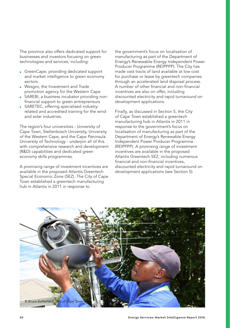The province also offers dedicated support for businesses and investors focusing on green technologies and services, including:

- GreenCape, providing dedicated support and market intelligence to green economy sectors
- Wesgro, the Investment and Trade promotion agency for the Western Cape
- SAREBI, a business incubator providing nonfinancial support to green entrepreneurs
- SARETEC, offering specialised industryrelated and accredited training for the wind and solar industries.

The region's four universities - University of Cape Town, Stellenbosch University, University of the Western Cape, and the Cape Peninsula University of Technology - underpin all of this with comprehensive research and development (R&D) capabilities and dedicated green economy skills programmes.

A promising range of investment incentives are available in the proposed Atlantis Greentech Special Economic Zone (SEZ). The City of Cape Town established a greentech manufacturing hub in Atlantis in 2011 in response to

the government's focus on localisation of manufacturing as part of the Department of Energy's Renewable Energy Independent Power Producer Programme (REIPPPP). The City has made vast tracts of land available at low cost for purchase or lease by greentech companies through an accelerated land disposal process. A number of other financial and non-financial incentives are also on offer, including discounted electricity and rapid turnaround on development applications.

Finally, as discussed in Section 5, the City of Cape Town established a greentech manufacturing hub in Atlantis in 2011 in response to the government's focus on localisation of manufacturing as part of the Department of Energy's Renewable Energy Independent Power Producer Programme (REIPPPP). A promising range of investment incentives are available in the proposed Atlantis Greentech SEZ, including numerous financial and non-financial incentives, discounted electricity and rapid turnaround on development applications (see Section 5).

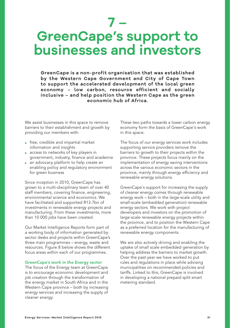# **7 – GreenCape's support to businesses and investors**

**GreenCape is a non-profit organisation that was established by the Western Cape Government and City of Cape Town to support the accelerated development of the local green economy – low carbon, resource efficient and socially inclusive – and help position the Western Cape as the green economic hub of Africa.**

We assist businesses in this space to remove barriers to their establishment and growth by providing our members with:

- free, credible and impartial market information and insights
- access to networks of key players in government, industry, finance and academia
- an advocacy platform to help create an enabling policy and regulatory environment for green business

Since inception in 2010, GreenCape has grown to a multi-disciplinary team of over 40 staff members, covering finance, engineering, environmental science and economics. We have facilitated and supported R13.7bn of investments in renewable energy projects and manufacturing. From these investments, more than 10 000 jobs have been created.

Our Market Intelligence Reports form part of a working body of information generated by sector desks and projects within GreenCape's three main programmes – energy, waste and resources. Figure 8 below shows the different focus areas within each of our programmes.

#### GreenCape's work in the Energy sector

The focus of the Energy team at GreenCape is to encourage economic development and job creation through the transformation of the energy market in South Africa and in the Western Cape province – both by increasing energy services and increasing the supply of cleaner energy.

These two paths towards a lower carbon energy economy form the basis of GreenCape's work in this space.

The focus of our energy services work includes supporting service providers remove the barriers to growth to their projects within the province. These projects focus mainly on the implementation of energy saving interventions across the various economic sectors in the province, mainly through energy efficiency and renewable energy solutions.

GreenCape's support for increasing the supply of cleaner energy comes through renewable energy work – both in the large-scale utility and small-scale (embedded generation) renewable energy sectors. We work with project developers and investors on the promotion of large-scale renewable energy projects within the province, and to position the Western Cape as a preferred location for the manufacturing of renewable energy components.

We are also actively driving and enabling the uptake of small scale embedded generation by helping address the barriers to market growth. Over the past year we have worked to put rules and regulations in place while advising municipalities on recommended policies and tariffs. Linked to this, GreenCape is involved in developing a national prepaid split smart metering standard.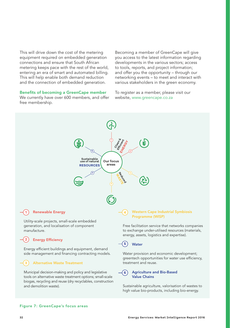This will drive down the cost of the metering equipment required on embedded generation connections and ensure that South African metering keeps pace with the rest of the world, entering an era of smart and automated billing. This will help enable both demand reduction and the connection of embedded generation.

Benefits of becoming a GreenCape member

We currently have over 600 members, and offer free membership.

Becoming a member of GreenCape will give you access to the latest information regarding developments in the various sectors; access to tools, reports, and project information; and offer you the opportunity – through our networking events – to meet and interact with various stakeholders in the green economy.

To register as a member, please visit our website, www.greencape.co.za



tools on alternative waste treatment options; small-scale biogas, recycling and reuse (dry recyclables, construction and demolition waste).

#### Sustainable agriculture, valorisation of wastes to high value bio-products, including bio-energy.

Value Chains

#### Figure 7: GreenCape's focus areas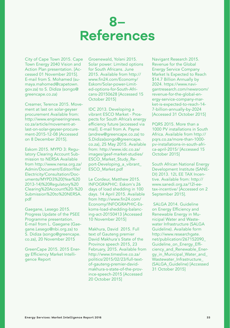## **8– References**

City of Cape Town 2015. Cape Town Energy 2040 Vision and Action Plan presentation. [Accessed 01 November 2015]. E-mail from S. Mohamed (sumaya.mahomed@capetown. gov.za) to S. Didiza (songo@ greencape.co.za)

Creamer, Terence 2015. Movement at last on solar-geyser procurement Available from: http://www.engineeringnews. co.za/article/movement-atlast-on-solar-geyser-procurement-2015-12-08 [Accessed on 8 December 2015].

Eskom 2015. MYPD 3: Regulatory Clearing Account Submission to NERSA Available from http://www.nersa.org.za/ Admin/Document/Editor/file/ Electricity/Consultation/Documents/MYPD3%20(Year%20 2013-14)%20Regulatory%20 Clearing%20Account%20-%20 Submission%20to%20NERSA. pdf

Gaegane, Lesego 2015. Progress Update of the PSEE Programme presentation. E-mail from L. Gaegane (Gaegane.Lesego@nbi.org.za) to S. Didiza (songo@greencape. co.za), 20 November 2015

GreenCape 2015. 2015 Energy Efficiency Market Intelligence Report

Groenewald, Yolani 2015. Solar power: Limited options for South Africans. June 2015. Available from http:// www.fin24.com/Economy/ Eskom/Solar-power-Limited-options-for-South-Africans-20150628 [Accessed 15 October 2015]

IDC 2013. Developing a vibrant ESCO Market - Prospects for South Africa's energy efficiency future [accessed via mail]. E-mail from A. Payne (andrew@greencape.co.za) to S.Didiza(songo@greencape. co.za), 25 May 2015. Available from: http://www.idc.co.za/ images/geef-market-studies/ ESCO\_Market\_Study\_Report-Developing\_a\_vibrant\_ ESCO\_Market.pdf

Le Cordeur, Matthew 2015. INFOGRAPHIC: Eskom's 26 days of load shedding in 100 days. 14 April 2015. Available from http://www.fin24.com/ Economy/INFOGRAPHIC-Eskoms-load-shedding-balancing-act-20150413 [Accessed 10 November 2015]

Makhura, David 2015. Full text of Gauteng premier David Makhura's State of the Province speech 2015, 23 February, 2015. Available from http://www.timeslive.co.za/ politics/2015/02/23/full-textof-gauteng-premier-davidmakhura-s-state-of-the-province-speech-2015 [Accessed 20 October 2015]

Navigant Research 2015. Revenue for the Global Energy Service Company Market Is Expected to Reach \$14.7 Billion Annually by 2024. https://www.navigantresearch.com/newsroom/ revenue-for-the-global-energy-service-company-market-is-expected-to-reach-14- 7-billion-annually-by-2024 [Accessed 31 October 2015]

PQRS 2015. More than a 1000 PV installations in South Africa. Available from http:// pqrs.co.za/more-than-1000 pv-installations-in-south-africa-april-2015/ [Accessed 15 October 2015]

South African National Energy Development Institute (SANE-DI) 2013. 12L EE TAX Incentive. Available from: http:// www.sanedi.org.za/12l-eetax-incentive/ [Accessed on 2 September 2015].

 SALGA 2014. Guideline on Energy Efficiency and Renewable Energy in Municipal Water and Wastewater Infrastructure (SALGA Guideline). Available form http://www.researchgate. net/publication/267152090\_ Guideline\_on\_Energy\_Efficiency\_and\_Renewable\_Energy\_in\_Municipal\_Water\_and\_ Wastewater\_Infrastructure\_ (SALGA\_Guideline) [Accessed 31 October 2015]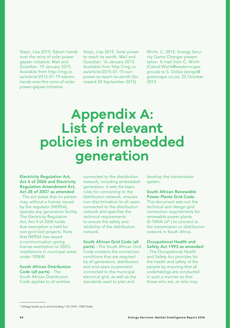Steyn, Lisa 2015. Eskom hands over the reins of solar power geyser initiative. Mail and Guardian. 19 January 2015. Available from http://mg.co. za/article/2015-01-19-eskomhands-over-the-reins-of-solarpower-geyser-initiative

Steyn, Lisa 2015. Solar power to reach its zenith. Mail and Guardian. 16 January 2015. Available from http://mg.co. za/article/2015-01-15-sunpower-to-reach-its-zenith [Accessed 24 September 2015]

Wicht, C. 2015. Energy Security Game Changer presentation E-mail from C. Wicht (Cabral.Wicht@westerncape. gov.za) to S. Didiza (songo@ greencape.co.za), 22 October 2015

# **Appendix A: List of relevant policies in embedded generation**

Electricity Regulation Act, Act 4 of 2006 and Electricity Regulation Amendment Act, Act 28 of 2007 as amended - The act states that no person may, without a license issued by the regulator (NERSA), operate any generation facility. The Electricity Regulation Act, Act 4 of 2006 holds that exemption is held for non-grid-tied projects. Note that NERSA has issued a communication giving license exemption to SSEG installations in municipal areas under 100kW.

South African Distribution Code (all parts) - The South African Distribution Code applies to all entities

connected to the distribution network, including embedded generators. It sets the basic rules for connecting to the distribution network, ensures non-discrimination to all users connected to the distribution network and specifies the technical requirements to ensure the safety and reliability of the distribution network.

South African Grid Code (all parts) - The South African Grid Code contains the connection conditions that are required by all generators, distributors and end-users (customers) connected to the municipal electrical grid, as well as the standards used to plan and

develop the transmission system.

South African Renewable Power Plants Grid Code - This document sets out the technical and design grid connection requirements for renewable power plants (0-1MVA  $LV^6$ ) to connect to the transmission or distribution network in South Africa.

Occupational Health and Safety Act 1993 as amended - The Occupational Health and Safety Act provides for the health and safety of the people by ensuring that all undertakings are conducted in such a manner so that those who are, or who may

<sup>6</sup> Voltage levels up to and including 1 kV. (1kV= 1000 Volts).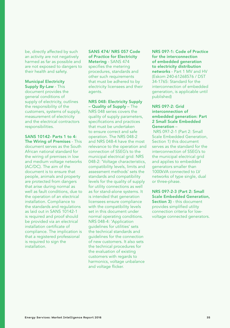be, directly affected by such an activity are not negatively harmed as far as possible and are not exposed to dangers to their health and safety.

Municipal Electricity

Supply By-Law - This document provides the general conditions of supply of electricity, outlines the responsibility of the customers, systems of supply, measurement of electricity and the electrical contractors responsibilities.

SANS 10142- Parts 1 to 4: The Wiring of Premises - This document serves as the South African national standard for the wiring of premises in low and medium voltage networks (AC/DC). The aim of the document is to ensure that people, animals and property are protected from dangers that arise during normal as well as fault conditions, due to the operation of an electrical installation. Compliance to the standards and regulations as laid out in SANS 10142-1 is required and proof should be provided via an electrical installation certificate of compliance. The implication is that a registered professional is required to sign the installation.

SANS 474/ NRS 057 Code of Practice for Electricity Metering - SANS 474 specifies the metering procedures, standards and other such requirements that must be adhered to by electricity licensees and their agents.

NRS 048: Electricity Supply – Quality of Supply – The NRS 048 series covers the quality of supply parameters, specifications and practices that must be undertaken to ensure correct and safe operation. The NRS 048-2 and NRS 048-4 have the most relevance to the operation and connection of SSEG's to the municipal electrical grid: NRS 048-2: 'Voltage characteristics, compatibility levels, limits and assessment methods' sets the standards and compatibility levels for the quality of supply for utility connections as well as for stand-alone systems. It is intended that generation licensees ensure compliance with the compatibility levels set in this document under normal operating conditions. NRS 048-4: 'Application guidelines for utilities' sets the technical standards and guidelines for the connection of new customers. It also sets the technical procedures for the evaluation of existing customers with regards to harmonics, voltage unbalance and voltage flicker.

NRS 097-1: Code of Practice for the interconnection of embedded generation to electricity distribution networks - Part 1 MV and HV (Eskom 240-61268576 / DST 34-1765: Standard for the interconnection of embedded generation, is applicable until published)

#### NRS 097-2: Grid interconnection of embedded generation: Part 2 Small Scale Embedded Generation –

 NRS 097-2-1 (Part 2: Small Scale Embedded Generation, Section 1) this document serves as the standard for the interconnection of SSEG's to the municipal electrical grid and applies to embedded generators smaller than 1000kVA connected to LV networks of type single, dual or three-phase.

NRS 097-2-3 (Part 2: Small Scale Embedded Generation, Section 3) - this document provides simplified utility connection criteria for lowvoltage connected generators.